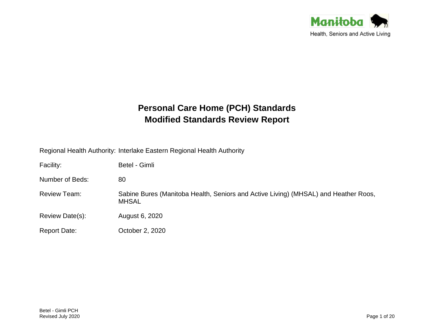

# **Personal Care Home (PCH) Standards Modified Standards Review Report**

Regional Health Authority: Interlake Eastern Regional Health Authority

| Facility:           | Betel - Gimli                                                                                       |
|---------------------|-----------------------------------------------------------------------------------------------------|
| Number of Beds:     | 80                                                                                                  |
| <b>Review Team:</b> | Sabine Bures (Manitoba Health, Seniors and Active Living) (MHSAL) and Heather Roos,<br><b>MHSAL</b> |
| Review Date(s):     | August 6, 2020                                                                                      |
| <b>Report Date:</b> | October 2, 2020                                                                                     |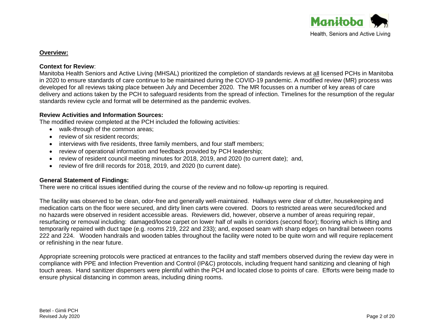

# **Overview:**

## **Context for Review**:

Manitoba Health Seniors and Active Living (MHSAL) prioritized the completion of standards reviews at all licensed PCHs in Manitoba in 2020 to ensure standards of care continue to be maintained during the COVID-19 pandemic. A modified review (MR) process was developed for all reviews taking place between July and December 2020. The MR focusses on a number of key areas of care delivery and actions taken by the PCH to safeguard residents from the spread of infection. Timelines for the resumption of the regular standards review cycle and format will be determined as the pandemic evolves.

# **Review Activities and Information Sources:**

The modified review completed at the PCH included the following activities:

- walk-through of the common areas:
- review of six resident records:
- interviews with five residents, three family members, and four staff members;
- review of operational information and feedback provided by PCH leadership;
- review of resident council meeting minutes for 2018, 2019, and 2020 (to current date); and,
- review of fire drill records for 2018, 2019, and 2020 (to current date).

# **General Statement of Findings:**

There were no critical issues identified during the course of the review and no follow-up reporting is required.

The facility was observed to be clean, odor-free and generally well-maintained. Hallways were clear of clutter, housekeeping and medication carts on the floor were secured, and dirty linen carts were covered. Doors to restricted areas were secured/locked and no hazards were observed in resident accessible areas. Reviewers did, however, observe a number of areas requiring repair, resurfacing or removal including: damaged/loose carpet on lower half of walls in corridors (second floor); flooring which is lifting and temporarily repaired with duct tape (e.g. rooms 219, 222 and 233); and, exposed seam with sharp edges on handrail between rooms 222 and 224. Wooden handrails and wooden tables throughout the facility were noted to be quite worn and will require replacement or refinishing in the near future.

Appropriate screening protocols were practiced at entrances to the facility and staff members observed during the review day were in compliance with PPE and Infection Prevention and Control (IP&C) protocols, including frequent hand sanitizing and cleaning of high touch areas. Hand sanitizer dispensers were plentiful within the PCH and located close to points of care. Efforts were being made to ensure physical distancing in common areas, including dining rooms.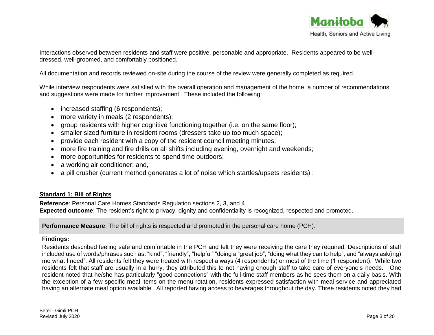

Interactions observed between residents and staff were positive, personable and appropriate. Residents appeared to be welldressed, well-groomed, and comfortably positioned.

All documentation and records reviewed on-site during the course of the review were generally completed as required.

While interview respondents were satisfied with the overall operation and management of the home, a number of recommendations and suggestions were made for further improvement. These included the following:

- increased staffing (6 respondents);
- more variety in meals (2 respondents);
- group residents with higher cognitive functioning together (i.e. on the same floor);
- smaller sized furniture in resident rooms (dressers take up too much space);
- provide each resident with a copy of the resident council meeting minutes;
- more fire training and fire drills on all shifts including evening, overnight and weekends;
- more opportunities for residents to spend time outdoors;
- a working air conditioner; and,
- a pill crusher (current method generates a lot of noise which startles/upsets residents);

# **Standard 1: Bill of Rights**

**Reference***:* Personal Care Homes Standards Regulation sections 2, 3, and 4 **Expected outcome**: The resident's right to privacy, dignity and confidentiality is recognized, respected and promoted.

**Performance Measure**: The bill of rights is respected and promoted in the personal care home (PCH).

# **Findings:**

Residents described feeling safe and comfortable in the PCH and felt they were receiving the care they required. Descriptions of staff included use of words/phrases such as: "kind", "friendly", "helpful" "doing a "great job", "doing what they can to help", and "always ask(ing) me what I need". All residents felt they were treated with respect always (4 respondents) or most of the time (1 respondent). While two residents felt that staff are usually in a hurry, they attributed this to not having enough staff to take care of everyone's needs. One resident noted that he/she has particularly "good connections" with the full-time staff members as he sees them on a daily basis. With the exception of a few specific meal items on the menu rotation, residents expressed satisfaction with meal service and appreciated having an alternate meal option available. All reported having access to beverages throughout the day. Three residents noted they had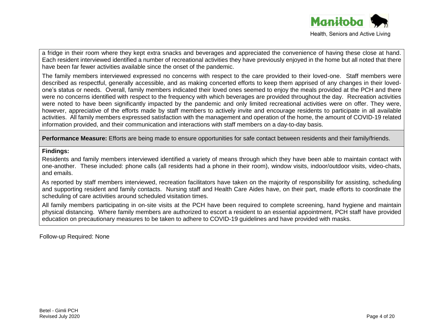

a fridge in their room where they kept extra snacks and beverages and appreciated the convenience of having these close at hand. Each resident interviewed identified a number of recreational activities they have previously enjoyed in the home but all noted that there have been far fewer activities available since the onset of the pandemic.

The family members interviewed expressed no concerns with respect to the care provided to their loved-one. Staff members were described as respectful, generally accessible, and as making concerted efforts to keep them apprised of any changes in their lovedone's status or needs. Overall, family members indicated their loved ones seemed to enjoy the meals provided at the PCH and there were no concerns identified with respect to the frequency with which beverages are provided throughout the day. Recreation activities were noted to have been significantly impacted by the pandemic and only limited recreational activities were on offer. They were, however, appreciative of the efforts made by staff members to actively invite and encourage residents to participate in all available activities. All family members expressed satisfaction with the management and operation of the home, the amount of COVID-19 related information provided, and their communication and interactions with staff members on a day-to-day basis.

**Performance Measure:** Efforts are being made to ensure opportunities for safe contact between residents and their family/friends.

# **Findings:**

Residents and family members interviewed identified a variety of means through which they have been able to maintain contact with one-another. These included: phone calls (all residents had a phone in their room), window visits, indoor/outdoor visits, video-chats, and emails.

As reported by staff members interviewed, recreation facilitators have taken on the majority of responsibility for assisting, scheduling and supporting resident and family contacts. Nursing staff and Health Care Aides have, on their part, made efforts to coordinate the scheduling of care activities around scheduled visitation times.

All family members participating in on-site visits at the PCH have been required to complete screening, hand hygiene and maintain physical distancing. Where family members are authorized to escort a resident to an essential appointment, PCH staff have provided education on precautionary measures to be taken to adhere to COVID-19 guidelines and have provided with masks.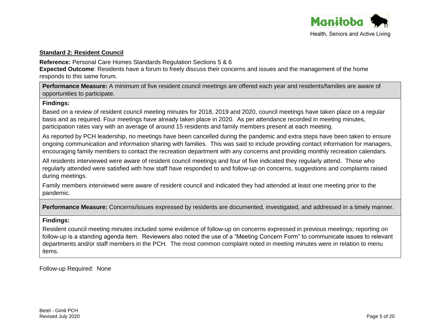

# **Standard 2: Resident Council**

**Reference:** Personal Care Homes Standards Regulation Sections 5 & 6

**Expected Outcome**: Residents have a forum to freely discuss their concerns and issues and the management of the home responds to this same forum.

**Performance Measure:** A minimum of five resident council meetings are offered each year and residents/families are aware of opportunities to participate.

# **Findings:**

Based on a review of resident council meeting minutes for 2018, 2019 and 2020, council meetings have taken place on a regular basis and as required. Four meetings have already taken place in 2020. As per attendance recorded in meeting minutes, participation rates vary with an average of around 15 residents and family members present at each meeting.

As reported by PCH leadership, no meetings have been cancelled during the pandemic and extra steps have been taken to ensure ongoing communication and information sharing with families. This was said to include providing contact information for managers, encouraging family members to contact the recreation department with any concerns and providing monthly recreation calendars.

All residents interviewed were aware of resident council meetings and four of five indicated they regularly attend. Those who regularly attended were satisfied with how staff have responded to and follow-up on concerns, suggestions and complaints raised during meetings.

Family members interviewed were aware of resident council and indicated they had attended at least one meeting prior to the pandemic.

**Performance Measure:** Concerns/issues expressed by residents are documented, investigated, and addressed in a timely manner.

# **Findings:**

Resident council meeting minutes included some evidence of follow-up on concerns expressed in previous meetings; reporting on follow-up is a standing agenda item. Reviewers also noted the use of a "Meeting Concern Form" to communicate issues to relevant departments and/or staff members in the PCH. The most common complaint noted in meeting minutes were in relation to menu items.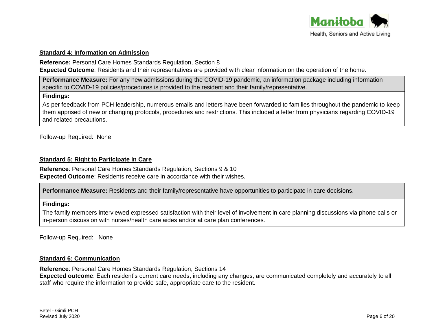

#### **Standard 4: Information on Admission**

**Reference:** Personal Care Homes Standards Regulation, Section 8

**Expected Outcome**: Residents and their representatives are provided with clear information on the operation of the home.

**Performance Measure:** For any new admissions during the COVID-19 pandemic, an information package including information specific to COVID-19 policies/procedures is provided to the resident and their family/representative.

## **Findings:**

As per feedback from PCH leadership, numerous emails and letters have been forwarded to families throughout the pandemic to keep them apprised of new or changing protocols, procedures and restrictions. This included a letter from physicians regarding COVID-19 and related precautions.

Follow-up Required: None

# **Standard 5: Right to Participate in Care**

**Reference**: Personal Care Homes Standards Regulation, Sections 9 & 10 **Expected Outcome**: Residents receive care in accordance with their wishes.

**Performance Measure:** Residents and their family/representative have opportunities to participate in care decisions.

# **Findings:**

The family members interviewed expressed satisfaction with their level of involvement in care planning discussions via phone calls or in-person discussion with nurses/health care aides and/or at care plan conferences.

Follow-up Required: None

# **Standard 6: Communication**

**Reference**: Personal Care Homes Standards Regulation, Sections 14 **Expected outcome**: Each resident's current care needs, including any changes, are communicated completely and accurately to all staff who require the information to provide safe, appropriate care to the resident.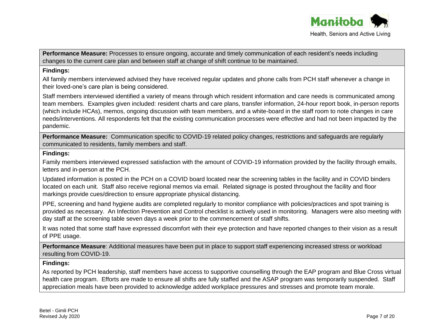

**Performance Measure:** Processes to ensure ongoing, accurate and timely communication of each resident's needs including changes to the current care plan and between staff at change of shift continue to be maintained.

# **Findings:**

All family members interviewed advised they have received regular updates and phone calls from PCH staff whenever a change in their loved-one's care plan is being considered.

Staff members interviewed identified a variety of means through which resident information and care needs is communicated among team members. Examples given included: resident charts and care plans, transfer information, 24-hour report book, in-person reports (which include HCAs), memos, ongoing discussion with team members, and a white-board in the staff room to note changes in care needs/interventions. All respondents felt that the existing communication processes were effective and had not been impacted by the pandemic.

**Performance Measure:** Communication specific to COVID-19 related policy changes, restrictions and safeguards are regularly communicated to residents, family members and staff.

# **Findings:**

Family members interviewed expressed satisfaction with the amount of COVID-19 information provided by the facility through emails, letters and in-person at the PCH.

Updated information is posted in the PCH on a COVID board located near the screening tables in the facility and in COVID binders located on each unit. Staff also receive regional memos via email. Related signage is posted throughout the facility and floor markings provide cues/direction to ensure appropriate physical distancing.

PPE, screening and hand hygiene audits are completed regularly to monitor compliance with policies/practices and spot training is provided as necessary. An Infection Prevention and Control checklist is actively used in monitoring. Managers were also meeting with day staff at the screening table seven days a week prior to the commencement of staff shifts.

It was noted that some staff have expressed discomfort with their eye protection and have reported changes to their vision as a result of PPE usage.

**Performance Measure**: Additional measures have been put in place to support staff experiencing increased stress or workload resulting from COVID-19.

# **Findings:**

As reported by PCH leadership, staff members have access to supportive counselling through the EAP program and Blue Cross virtual health care program. Efforts are made to ensure all shifts are fully staffed and the ASAP program was temporarily suspended. Staff appreciation meals have been provided to acknowledge added workplace pressures and stresses and promote team morale.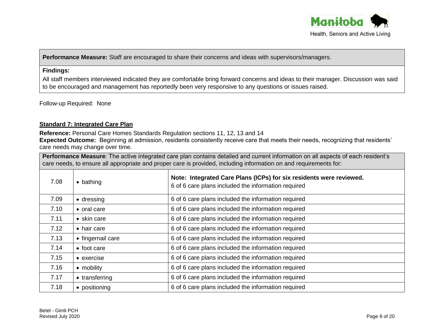

**Performance Measure:** Staff are encouraged to share their concerns and ideas with supervisors/managers.

## **Findings:**

All staff members interviewed indicated they are comfortable bring forward concerns and ideas to their manager. Discussion was said to be encouraged and management has reportedly been very responsive to any questions or issues raised.

Follow-up Required: None

# **Standard 7: Integrated Care Plan**

**Reference:** Personal Care Homes Standards Regulation sections 11, 12, 13 and 14

**Expected Outcome:** Beginning at admission, residents consistently receive care that meets their needs, recognizing that residents' care needs may change over time.

**Performance Measure**: The active integrated care plan contains detailed and current information on all aspects of each resident's care needs, to ensure all appropriate and proper care is provided, including information on and requirements for:

| 7.08 | $\bullet$ bathing  | Note: Integrated Care Plans (ICPs) for six residents were reviewed.<br>6 of 6 care plans included the information required |
|------|--------------------|----------------------------------------------------------------------------------------------------------------------------|
| 7.09 | $\bullet$ dressing | 6 of 6 care plans included the information required                                                                        |
| 7.10 | • oral care        | 6 of 6 care plans included the information required                                                                        |
| 7.11 | • skin care        | 6 of 6 care plans included the information required                                                                        |
| 7.12 | • hair care        | 6 of 6 care plans included the information required                                                                        |
| 7.13 | • fingernail care  | 6 of 6 care plans included the information required                                                                        |
| 7.14 | • foot care        | 6 of 6 care plans included the information required                                                                        |
| 7.15 | • exercise         | 6 of 6 care plans included the information required                                                                        |
| 7.16 | • mobility         | 6 of 6 care plans included the information required                                                                        |
| 7.17 | • transferring     | 6 of 6 care plans included the information required                                                                        |
| 7.18 | • positioning      | 6 of 6 care plans included the information required                                                                        |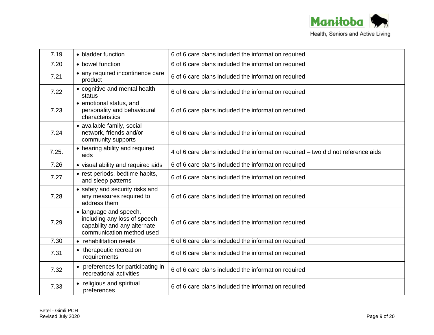

| 7.19  | • bladder function                                                                                                  | 6 of 6 care plans included the information required                              |
|-------|---------------------------------------------------------------------------------------------------------------------|----------------------------------------------------------------------------------|
| 7.20  | • bowel function                                                                                                    | 6 of 6 care plans included the information required                              |
| 7.21  | • any required incontinence care<br>product                                                                         | 6 of 6 care plans included the information required                              |
| 7.22  | • cognitive and mental health<br>status                                                                             | 6 of 6 care plans included the information required                              |
| 7.23  | • emotional status, and<br>personality and behavioural<br>characteristics                                           | 6 of 6 care plans included the information required                              |
| 7.24  | • available family, social<br>network, friends and/or<br>community supports                                         | 6 of 6 care plans included the information required                              |
| 7.25. | • hearing ability and required<br>aids                                                                              | 4 of 6 care plans included the information required – two did not reference aids |
| 7.26  | • visual ability and required aids                                                                                  | 6 of 6 care plans included the information required                              |
| 7.27  | • rest periods, bedtime habits,<br>and sleep patterns                                                               | 6 of 6 care plans included the information required                              |
| 7.28  | • safety and security risks and<br>any measures required to<br>address them                                         | 6 of 6 care plans included the information required                              |
| 7.29  | • language and speech,<br>including any loss of speech<br>capability and any alternate<br>communication method used | 6 of 6 care plans included the information required                              |
| 7.30  | • rehabilitation needs                                                                                              | 6 of 6 care plans included the information required                              |
| 7.31  | • therapeutic recreation<br>requirements                                                                            | 6 of 6 care plans included the information required                              |
| 7.32  | • preferences for participating in<br>recreational activities                                                       | 6 of 6 care plans included the information required                              |
| 7.33  | • religious and spiritual<br>preferences                                                                            | 6 of 6 care plans included the information required                              |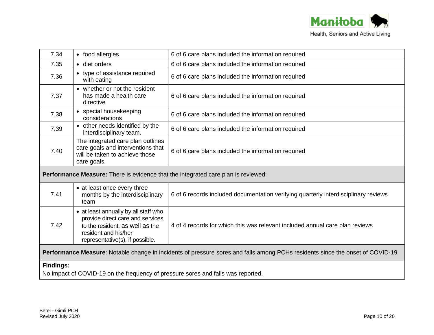

| 7.34                                                                                                                          | • food allergies                                                                                                                                                       | 6 of 6 care plans included the information required                                 |
|-------------------------------------------------------------------------------------------------------------------------------|------------------------------------------------------------------------------------------------------------------------------------------------------------------------|-------------------------------------------------------------------------------------|
| 7.35                                                                                                                          | · diet orders                                                                                                                                                          | 6 of 6 care plans included the information required                                 |
| 7.36                                                                                                                          | • type of assistance required<br>with eating                                                                                                                           | 6 of 6 care plans included the information required                                 |
| 7.37                                                                                                                          | • whether or not the resident<br>has made a health care<br>directive                                                                                                   | 6 of 6 care plans included the information required                                 |
| 7.38                                                                                                                          | • special housekeeping<br>considerations                                                                                                                               | 6 of 6 care plans included the information required                                 |
| 7.39                                                                                                                          | • other needs identified by the<br>interdisciplinary team.                                                                                                             | 6 of 6 care plans included the information required                                 |
| 7.40                                                                                                                          | The integrated care plan outlines<br>care goals and interventions that<br>will be taken to achieve those<br>care goals.                                                | 6 of 6 care plans included the information required                                 |
| <b>Performance Measure:</b> There is evidence that the integrated care plan is reviewed:                                      |                                                                                                                                                                        |                                                                                     |
| 7.41                                                                                                                          | • at least once every three<br>months by the interdisciplinary<br>team                                                                                                 | 6 of 6 records included documentation verifying quarterly interdisciplinary reviews |
| 7.42                                                                                                                          | • at least annually by all staff who<br>provide direct care and services<br>to the resident, as well as the<br>resident and his/her<br>representative(s), if possible. | 4 of 4 records for which this was relevant included annual care plan reviews        |
| Performance Measure: Notable change in incidents of pressure sores and falls among PCHs residents since the onset of COVID-19 |                                                                                                                                                                        |                                                                                     |
| <b>Findings:</b><br>No impact of COVID-19 on the frequency of pressure sores and falls was reported.                          |                                                                                                                                                                        |                                                                                     |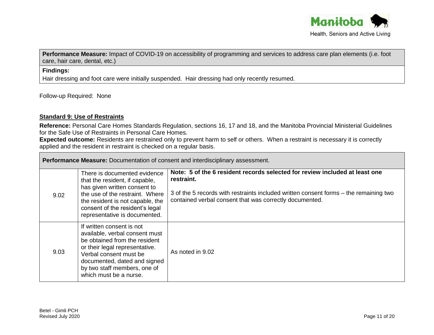

**Performance Measure:** Impact of COVID-19 on accessibility of programming and services to address care plan elements (i.e. foot care, hair care, dental, etc.)

# **Findings:**

Hair dressing and foot care were initially suspended. Hair dressing had only recently resumed.

Follow-up Required: None

## **Standard 9: Use of Restraints**

**Reference:** Personal Care Homes Standards Regulation, sections 16, 17 and 18, and the Manitoba Provincial Ministerial Guidelines for the Safe Use of Restraints in Personal Care Homes.

**Expected outcome:** Residents are restrained only to prevent harm to self or others. When a restraint is necessary it is correctly applied and the resident in restraint is checked on a regular basis.

| <b>Performance Measure:</b> Documentation of consent and interdisciplinary assessment. |                                                                                                                                                                                                                                                    |                                                                                                                                                                                                                                               |
|----------------------------------------------------------------------------------------|----------------------------------------------------------------------------------------------------------------------------------------------------------------------------------------------------------------------------------------------------|-----------------------------------------------------------------------------------------------------------------------------------------------------------------------------------------------------------------------------------------------|
| 9.02                                                                                   | There is documented evidence<br>that the resident, if capable,<br>has given written consent to<br>the use of the restraint. Where<br>the resident is not capable, the<br>consent of the resident's legal<br>representative is documented.          | Note: 5 of the 6 resident records selected for review included at least one<br>restraint.<br>3 of the 5 records with restraints included written consent forms – the remaining two<br>contained verbal consent that was correctly documented. |
| 9.03                                                                                   | If written consent is not<br>available, verbal consent must<br>be obtained from the resident<br>or their legal representative.<br>Verbal consent must be<br>documented, dated and signed<br>by two staff members, one of<br>which must be a nurse. | As noted in 9.02                                                                                                                                                                                                                              |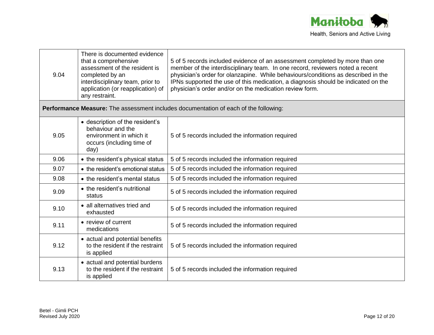

| 9.04 | There is documented evidence<br>that a comprehensive<br>assessment of the resident is<br>completed by an<br>interdisciplinary team, prior to<br>application (or reapplication) of<br>any restraint. | 5 of 5 records included evidence of an assessment completed by more than one<br>member of the interdisciplinary team. In one record, reviewers noted a recent<br>physician's order for olanzapine. While behaviours/conditions as described in the<br>IPNs supported the use of this medication, a diagnosis should be indicated on the<br>physician's order and/or on the medication review form. |  |
|------|-----------------------------------------------------------------------------------------------------------------------------------------------------------------------------------------------------|----------------------------------------------------------------------------------------------------------------------------------------------------------------------------------------------------------------------------------------------------------------------------------------------------------------------------------------------------------------------------------------------------|--|
|      | Performance Measure: The assessment includes documentation of each of the following:                                                                                                                |                                                                                                                                                                                                                                                                                                                                                                                                    |  |
| 9.05 | • description of the resident's<br>behaviour and the<br>environment in which it<br>occurs (including time of<br>day)                                                                                | 5 of 5 records included the information required                                                                                                                                                                                                                                                                                                                                                   |  |
| 9.06 | • the resident's physical status                                                                                                                                                                    | 5 of 5 records included the information required                                                                                                                                                                                                                                                                                                                                                   |  |
| 9.07 | • the resident's emotional status                                                                                                                                                                   | 5 of 5 records included the information required                                                                                                                                                                                                                                                                                                                                                   |  |
| 9.08 | • the resident's mental status                                                                                                                                                                      | 5 of 5 records included the information required                                                                                                                                                                                                                                                                                                                                                   |  |
| 9.09 | • the resident's nutritional<br>status                                                                                                                                                              | 5 of 5 records included the information required                                                                                                                                                                                                                                                                                                                                                   |  |
| 9.10 | • all alternatives tried and<br>exhausted                                                                                                                                                           | 5 of 5 records included the information required                                                                                                                                                                                                                                                                                                                                                   |  |
| 9.11 | • review of current<br>medications                                                                                                                                                                  | 5 of 5 records included the information required                                                                                                                                                                                                                                                                                                                                                   |  |
| 9.12 | • actual and potential benefits<br>to the resident if the restraint<br>is applied                                                                                                                   | 5 of 5 records included the information required                                                                                                                                                                                                                                                                                                                                                   |  |
| 9.13 | • actual and potential burdens<br>to the resident if the restraint<br>is applied                                                                                                                    | 5 of 5 records included the information required                                                                                                                                                                                                                                                                                                                                                   |  |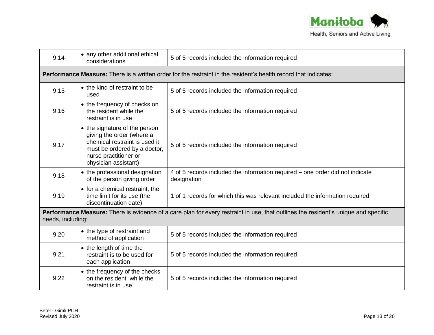

| 9.14                                                                                                                                                    | • any other additional ethical<br>considerations                                                                                                                             | 5 of 5 records included the information required                                                                       |
|---------------------------------------------------------------------------------------------------------------------------------------------------------|------------------------------------------------------------------------------------------------------------------------------------------------------------------------------|------------------------------------------------------------------------------------------------------------------------|
|                                                                                                                                                         |                                                                                                                                                                              | <b>Performance Measure:</b> There is a written order for the restraint in the resident's health record that indicates: |
| 9.15                                                                                                                                                    | • the kind of restraint to be<br>used                                                                                                                                        | 5 of 5 records included the information required                                                                       |
| 9.16                                                                                                                                                    | • the frequency of checks on<br>the resident while the<br>restraint is in use                                                                                                | 5 of 5 records included the information required                                                                       |
| 9.17                                                                                                                                                    | • the signature of the person<br>giving the order (where a<br>chemical restraint is used it<br>must be ordered by a doctor,<br>nurse practitioner or<br>physician assistant) | 5 of 5 records included the information required                                                                       |
| 9.18                                                                                                                                                    | • the professional designation<br>of the person giving order                                                                                                                 | 4 of 5 records included the information required – one order did not indicate<br>designation                           |
| 9.19                                                                                                                                                    | • for a chemical restraint, the<br>time limit for its use (the<br>discontinuation date)                                                                                      | 1 of 1 records for which this was relevant included the information required                                           |
| Performance Measure: There is evidence of a care plan for every restraint in use, that outlines the resident's unique and specific<br>needs, including: |                                                                                                                                                                              |                                                                                                                        |
| 9.20                                                                                                                                                    | • the type of restraint and<br>method of application                                                                                                                         | 5 of 5 records included the information required                                                                       |
| 9.21                                                                                                                                                    | • the length of time the<br>restraint is to be used for<br>each application                                                                                                  | 5 of 5 records included the information required                                                                       |
| 9.22                                                                                                                                                    | • the frequency of the checks<br>on the resident while the<br>restraint is in use                                                                                            | 5 of 5 records included the information required                                                                       |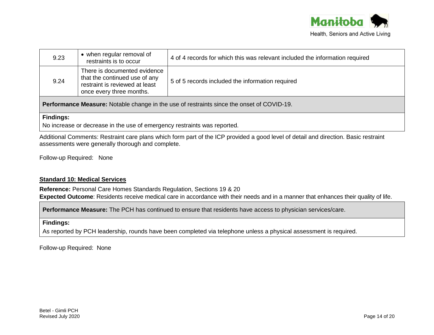

| 9.23 | • when regular removal of<br>restraints is to occur                                                                         | 4 of 4 records for which this was relevant included the information required                                                                                                                                                         |
|------|-----------------------------------------------------------------------------------------------------------------------------|--------------------------------------------------------------------------------------------------------------------------------------------------------------------------------------------------------------------------------------|
| 9.24 | There is documented evidence<br>that the continued use of any<br>restraint is reviewed at least<br>once every three months. | 5 of 5 records included the information required                                                                                                                                                                                     |
|      |                                                                                                                             | <u>is in the second and the second second and the second second and the second second and second and second and second and second and second and second and second and second and second and second and second and second and se</u> |

**Performance Measure:** Notable change in the use of restraints since the onset of COVID-19.

#### **Findings:**

No increase or decrease in the use of emergency restraints was reported.

Additional Comments: Restraint care plans which form part of the ICP provided a good level of detail and direction. Basic restraint assessments were generally thorough and complete.

Follow-up Required: None

# **Standard 10: Medical Services**

**Reference:** Personal Care Homes Standards Regulation, Sections 19 & 20

**Expected Outcome**: Residents receive medical care in accordance with their needs and in a manner that enhances their quality of life.

**Performance Measure:** The PCH has continued to ensure that residents have access to physician services/care.

#### **Findings:**

As reported by PCH leadership, rounds have been completed via telephone unless a physical assessment is required.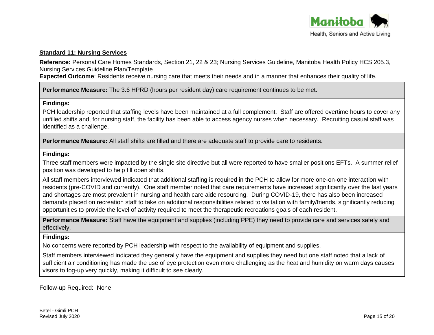

#### **Standard 11: Nursing Services**

**Reference:** Personal Care Homes Standards, Section 21, 22 & 23; Nursing Services Guideline, Manitoba Health Policy HCS 205.3, Nursing Services Guideline Plan/Template

**Expected Outcome**: Residents receive nursing care that meets their needs and in a manner that enhances their quality of life.

**Performance Measure:** The 3.6 HPRD (hours per resident day) care requirement continues to be met.

#### **Findings:**

PCH leadership reported that staffing levels have been maintained at a full complement. Staff are offered overtime hours to cover any unfilled shifts and, for nursing staff, the facility has been able to access agency nurses when necessary. Recruiting casual staff was identified as a challenge.

**Performance Measure:** All staff shifts are filled and there are adequate staff to provide care to residents.

#### **Findings:**

Three staff members were impacted by the single site directive but all were reported to have smaller positions EFTs. A summer relief position was developed to help fill open shifts.

All staff members interviewed indicated that additional staffing is required in the PCH to allow for more one-on-one interaction with residents (pre-COVID and currently). One staff member noted that care requirements have increased significantly over the last years and shortages are most prevalent in nursing and health care aide resourcing. During COVID-19, there has also been increased demands placed on recreation staff to take on additional responsibilities related to visitation with family/friends, significantly reducing opportunities to provide the level of activity required to meet the therapeutic recreations goals of each resident.

**Performance Measure:** Staff have the equipment and supplies (including PPE) they need to provide care and services safely and effectively.

# **Findings:**

No concerns were reported by PCH leadership with respect to the availability of equipment and supplies.

Staff members interviewed indicated they generally have the equipment and supplies they need but one staff noted that a lack of sufficient air conditioning has made the use of eye protection even more challenging as the heat and humidity on warm days causes visors to fog-up very quickly, making it difficult to see clearly.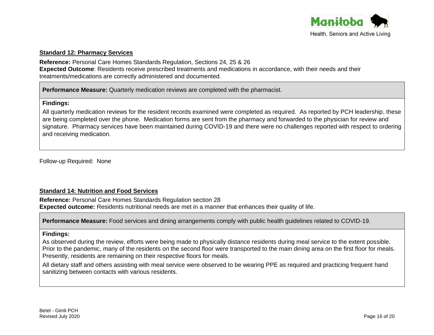

#### **Standard 12: Pharmacy Services**

**Reference:** Personal Care Homes Standards Regulation, Sections 24, 25 & 26 **Expected Outcome**: Residents receive prescribed treatments and medications in accordance, with their needs and their treatments/medications are correctly administered and documented.

**Performance Measure:** Quarterly medication reviews are completed with the pharmacist.

## **Findings:**

All quarterly medication reviews for the resident records examined were completed as required. As reported by PCH leadership, these are being completed over the phone. Medication forms are sent from the pharmacy and forwarded to the physician for review and signature. Pharmacy services have been maintained during COVID-19 and there were no challenges reported with respect to ordering and receiving medication.

Follow-up Required: None

# **Standard 14: Nutrition and Food Services**

**Reference:** Personal Care Homes Standards Regulation section 28 **Expected outcome:** Residents nutritional needs are met in a manner that enhances their quality of life.

**Performance Measure:** Food services and dining arrangements comply with public health guidelines related to COVID-19.

#### **Findings:**

As observed during the review, efforts were being made to physically distance residents during meal service to the extent possible. Prior to the pandemic, many of the residents on the second floor were transported to the main dining area on the first floor for meals. Presently, residents are remaining on their respective floors for meals.

All dietary staff and others assisting with meal service were observed to be wearing PPE as required and practicing frequent hand sanitizing between contacts with various residents.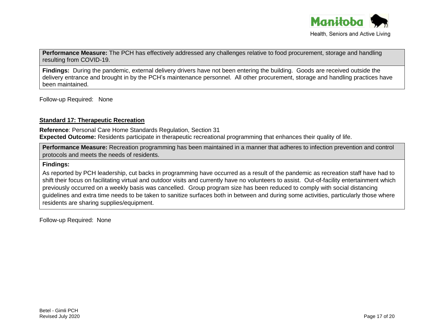

**Performance Measure:** The PCH has effectively addressed any challenges relative to food procurement, storage and handling resulting from COVID-19.

**Findings:** During the pandemic, external delivery drivers have not been entering the building. Goods are received outside the delivery entrance and brought in by the PCH's maintenance personnel. All other procurement, storage and handling practices have been maintained.

Follow-up Required: None

# **Standard 17: Therapeutic Recreation**

**Reference**: Personal Care Home Standards Regulation, Section 31 **Expected Outcome:** Residents participate in therapeutic recreational programming that enhances their quality of life.

**Performance Measure:** Recreation programming has been maintained in a manner that adheres to infection prevention and control protocols and meets the needs of residents.

## **Findings:**

As reported by PCH leadership, cut backs in programming have occurred as a result of the pandemic as recreation staff have had to shift their focus on facilitating virtual and outdoor visits and currently have no volunteers to assist. Out-of-facility entertainment which previously occurred on a weekly basis was cancelled. Group program size has been reduced to comply with social distancing guidelines and extra time needs to be taken to sanitize surfaces both in between and during some activities, particularly those where residents are sharing supplies/equipment.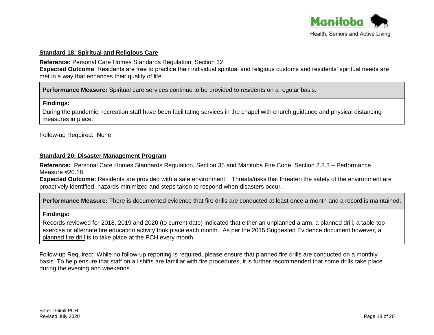

## **Standard 18: Spiritual and Religious Care**

**Reference:** Personal Care Homes Standards Regulation, Section 32

**Expected Outcome**: Residents are free to practice their individual spiritual and religious customs and residents' spiritual needs are met in a way that enhances their quality of life.

**Performance Measure:** Spiritual care services continue to be provided to residents on a regular basis.

#### **Findings:**

During the pandemic, recreation staff have been facilitating services in the chapel with church guidance and physical distancing measures in place.

Follow-up Required: None

#### **Standard 20: Disaster Management Program**

**Reference:** Personal Care Homes Standards Regulation, Section 35 and Manitoba Fire Code, Section 2.8.3 – Performance Measure #20.18

**Expected Outcome:** Residents are provided with a safe environment. Threats/risks that threaten the safety of the environment are proactively identified, hazards minimized and steps taken to respond when disasters occur.

**Performance Measure:** There is documented evidence that fire drills are conducted at least once a month and a record is maintained.

#### **Findings:**

Records reviewed for 2018, 2019 and 2020 (to current date) indicated that either an unplanned alarm, a planned drill, a table-top exercise or alternate fire education activity took place each month. As per the 2015 Suggested Evidence document however, a planned fire drill is to take place at the PCH every month.

Follow-up Required: While no follow-up reporting is required, please ensure that planned fire drills are conducted on a monthly basis. To help ensure that staff on all shifts are familiar with fire procedures, it is further recommended that some drills take place during the evening and weekends.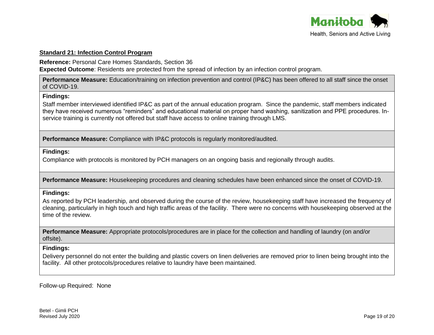

## **Standard 21: Infection Control Program**

**Reference:** Personal Care Homes Standards, Section 36 **Expected Outcome**: Residents are protected from the spread of infection by an infection control program.

**Performance Measure:** Education/training on infection prevention and control (IP&C) has been offered to all staff since the onset of COVID-19.

#### **Findings:**

Staff member interviewed identified IP&C as part of the annual education program. Since the pandemic, staff members indicated they have received numerous "reminders" and educational material on proper hand washing, sanitization and PPE procedures. Inservice training is currently not offered but staff have access to online training through LMS.

**Performance Measure:** Compliance with IP&C protocols is regularly monitored/audited.

## **Findings:**

Compliance with protocols is monitored by PCH managers on an ongoing basis and regionally through audits.

**Performance Measure:** Housekeeping procedures and cleaning schedules have been enhanced since the onset of COVID-19.

# **Findings:**

As reported by PCH leadership, and observed during the course of the review, housekeeping staff have increased the frequency of cleaning, particularly in high touch and high traffic areas of the facility. There were no concerns with housekeeping observed at the time of the review.

**Performance Measure:** Appropriate protocols/procedures are in place for the collection and handling of laundry (on and/or offsite).

# **Findings:**

Delivery personnel do not enter the building and plastic covers on linen deliveries are removed prior to linen being brought into the facility. All other protocols/procedures relative to laundry have been maintained.